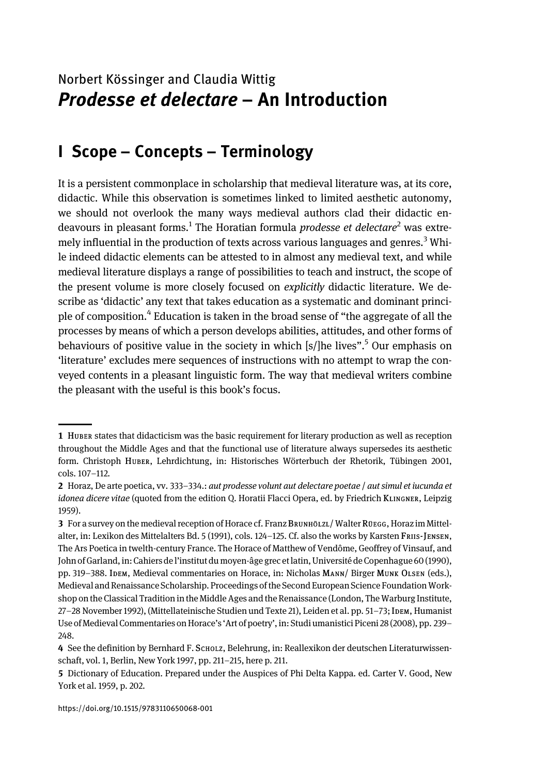# Norbert Kössinger and Claudia Wittig Prodesse et delectare – An Introduction

## I Scope – Concepts – Terminology

It is a persistent commonplace in scholarship that medieval literature was, at its core, didactic. While this observation is sometimes linked to limited aesthetic autonomy, we should not overlook the many ways medieval authors clad their didactic endeavours in pleasant forms.<sup>1</sup> The Horatian formula *prodesse et delectare*<sup>2</sup> was extremely influential in the production of texts across various languages and genres.<sup>3</sup> While indeed didactic elements can be attested to in almost any medieval text, and while medieval literature displays a range of possibilities to teach and instruct, the scope of the present volume is more closely focused on explicitly didactic literature. We describe as 'didactic' any text that takes education as a systematic and dominant principle of composition.<sup>4</sup> Education is taken in the broad sense of "the aggregate of all the processes by means of which a person develops abilities, attitudes, and other forms of behaviours of positive value in the society in which [s/]he lives". <sup>5</sup> Our emphasis on 'literature' excludes mere sequences of instructions with no attempt to wrap the conveyed contents in a pleasant linguistic form. The way that medieval writers combine the pleasant with the useful is this book's focus.

<sup>1</sup> HUBER states that didacticism was the basic requirement for literary production as well as reception throughout the Middle Ages and that the functional use of literature always supersedes its aesthetic form. Christoph HUBER, Lehrdichtung, in: Historisches Wörterbuch der Rhetorik, Tübingen 2001, cols. 107–112.

<sup>2</sup> Horaz, De arte poetica, vv. 333-334.: aut prodesse volunt aut delectare poetae / aut simul et iucunda et idonea dicere vitae (quoted from the edition Q. Horatii Flacci Opera, ed. by Friedrich KLINGNER, Leipzig 1959).

<sup>3</sup> For a survey on the medieval reception of Horace cf. Franz BRUNHÖLZL/ Walter RÜEGG, Horaz im Mittelalter, in: Lexikon des Mittelalters Bd. 5 (1991), cols. 124-125. Cf. also the works by Karsten Frus-JENSEN, The Ars Poetica in twelth-century France. The Horace of Matthew of Vendôme, Geoffrey of Vinsauf, and John of Garland, in: Cahiers de l'institut du moyen-âge grec et latin, Université de Copenhague 60 (1990), pp. 319–388. IDEM, Medieval commentaries on Horace, in: Nicholas MANN/ Birger MUNK OLSEN (eds.), Medieval and Renaissance Scholarship. Proceedings of the Second European Science Foundation Workshop on the Classical Tradition in the Middle Ages and the Renaissance (London, The Warburg Institute, 27–28 November 1992), (Mittellateinische Studien und Texte 21), Leiden et al. pp. 51–73; IDEM, Humanist Use of Medieval Commentaries on Horace's 'Art of poetry', in: Studi umanistici Piceni 28 (2008), pp. 239– 248.

<sup>4</sup> See the definition by Bernhard F. SCHOLZ, Belehrung, in: Reallexikon der deutschen Literaturwissenschaft, vol. 1, Berlin, New York 1997, pp. 211–215, here p. 211.

<sup>5</sup> Dictionary of Education. Prepared under the Auspices of Phi Delta Kappa. ed. Carter V. Good, New York et al. 1959, p. 202.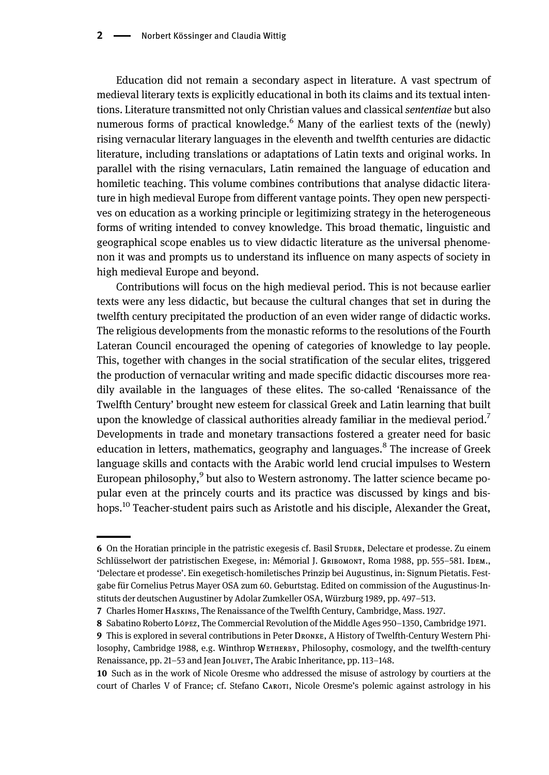Education did not remain a secondary aspect in literature. A vast spectrum of medieval literary texts is explicitly educational in both its claims and its textual intentions. Literature transmitted not only Christian values and classical sententiae but also numerous forms of practical knowledge.<sup>6</sup> Many of the earliest texts of the (newly) rising vernacular literary languages in the eleventh and twelfth centuries are didactic literature, including translations or adaptations of Latin texts and original works. In parallel with the rising vernaculars, Latin remained the language of education and homiletic teaching. This volume combines contributions that analyse didactic literature in high medieval Europe from different vantage points. They open new perspectives on education as a working principle or legitimizing strategy in the heterogeneous forms of writing intended to convey knowledge. This broad thematic, linguistic and geographical scope enables us to view didactic literature as the universal phenomenon it was and prompts us to understand its influence on many aspects of society in high medieval Europe and beyond.

Contributions will focus on the high medieval period. This is not because earlier texts were any less didactic, but because the cultural changes that set in during the twelfth century precipitated the production of an even wider range of didactic works. The religious developments from the monastic reforms to the resolutions of the Fourth Lateran Council encouraged the opening of categories of knowledge to lay people. This, together with changes in the social stratification of the secular elites, triggered the production of vernacular writing and made specific didactic discourses more readily available in the languages of these elites. The so-called 'Renaissance of the Twelfth Century' brought new esteem for classical Greek and Latin learning that built upon the knowledge of classical authorities already familiar in the medieval period.<sup>7</sup> Developments in trade and monetary transactions fostered a greater need for basic education in letters, mathematics, geography and languages.<sup>8</sup> The increase of Greek language skills and contacts with the Arabic world lend crucial impulses to Western European philosophy, $9$  but also to Western astronomy. The latter science became popular even at the princely courts and its practice was discussed by kings and bishops.<sup>10</sup> Teacher-student pairs such as Aristotle and his disciple, Alexander the Great,

<sup>6</sup> On the Horatian principle in the patristic exegesis cf. Basil STUDER, Delectare et prodesse. Zu einem Schlüsselwort der patristischen Exegese, in: Mémorial J. GRIBOMONT, Roma 1988, pp. 555-581. IDEM., 'Delectare et prodesse'. Ein exegetisch-homiletisches Prinzip bei Augustinus, in: Signum Pietatis. Festgabe für Cornelius Petrus Mayer OSA zum 60. Geburtstag. Edited on commission of the Augustinus-Instituts der deutschen Augustiner by Adolar Zumkeller OSA, Würzburg 1989, pp. 497–513.

<sup>7</sup> Charles Homer HASKINS, The Renaissance of the Twelfth Century, Cambridge, Mass. 1927.

<sup>8</sup> Sabatino Roberto López, The Commercial Revolution of the Middle Ages 950–1350, Cambridge 1971.

<sup>9</sup> This is explored in several contributions in Peter DRONKE, A History of Twelfth-Century Western Philosophy, Cambridge 1988, e.g. Winthrop WETHERBY, Philosophy, cosmology, and the twelfth-century Renaissance, pp. 21–53 and Jean JoLIVET, The Arabic Inheritance, pp. 113–148.

<sup>10</sup> Such as in the work of Nicole Oresme who addressed the misuse of astrology by courtiers at the court of Charles V of France; cf. Stefano CAROTI, Nicole Oresme's polemic against astrology in his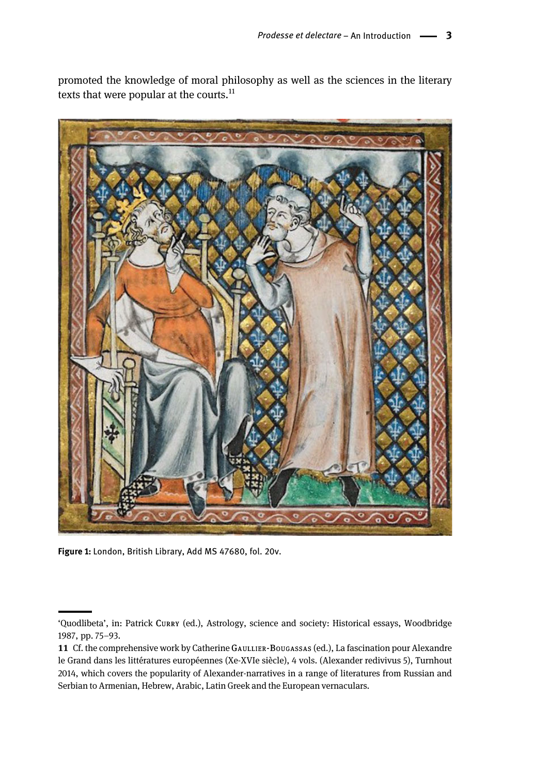promoted the knowledge of moral philosophy as well as the sciences in the literary texts that were popular at the courts. $^{11}$ 



Figure 1: London, British Library, Add MS 47680, fol. 20v.

<sup>&#</sup>x27;Quodlibeta', in: Patrick CURRY (ed.), Astrology, science and society: Historical essays, Woodbridge 1987, pp. 75–93.

<sup>11</sup> Cf. the comprehensive work by Catherine GAULLIER-BOUGASSAS (ed.), La fascination pour Alexandre le Grand dans les littératures européennes (Xe-XVIe siècle), 4 vols. (Alexander redivivus 5), Turnhout 2014, which covers the popularity of Alexander-narratives in a range of literatures from Russian and Serbian to Armenian, Hebrew, Arabic, Latin Greek and the European vernaculars.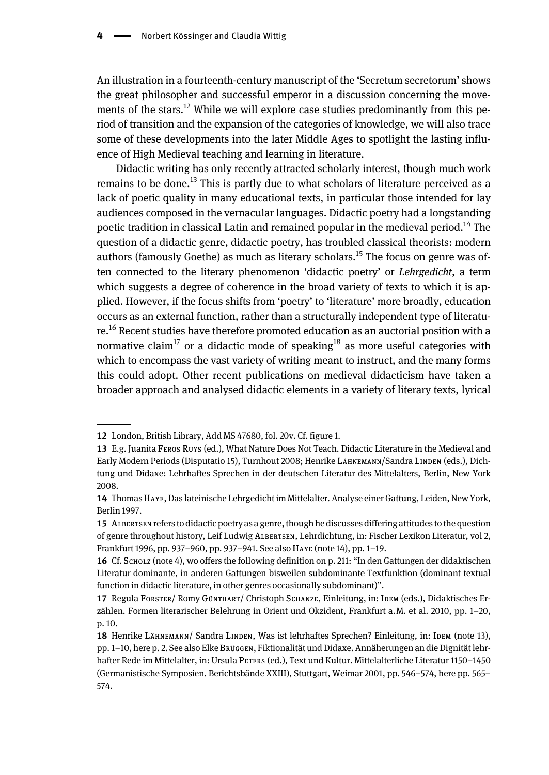An illustration in a fourteenth-century manuscript of the 'Secretum secretorum' shows the great philosopher and successful emperor in a discussion concerning the movements of the stars.<sup>12</sup> While we will explore case studies predominantly from this period of transition and the expansion of the categories of knowledge, we will also trace some of these developments into the later Middle Ages to spotlight the lasting influence of High Medieval teaching and learning in literature.

Didactic writing has only recently attracted scholarly interest, though much work remains to be done.<sup>13</sup> This is partly due to what scholars of literature perceived as a lack of poetic quality in many educational texts, in particular those intended for lay audiences composed in the vernacular languages. Didactic poetry had a longstanding poetic tradition in classical Latin and remained popular in the medieval period.<sup>14</sup> The question of a didactic genre, didactic poetry, has troubled classical theorists: modern authors (famously Goethe) as much as literary scholars.<sup>15</sup> The focus on genre was often connected to the literary phenomenon 'didactic poetry' or Lehrgedicht, a term which suggests a degree of coherence in the broad variety of texts to which it is applied. However, if the focus shifts from 'poetry' to 'literature' more broadly, education occurs as an external function, rather than a structurally independent type of literature.<sup>16</sup> Recent studies have therefore promoted education as an auctorial position with a normative claim<sup>17</sup> or a didactic mode of speaking<sup>18</sup> as more useful categories with which to encompass the vast variety of writing meant to instruct, and the many forms this could adopt. Other recent publications on medieval didacticism have taken a broader approach and analysed didactic elements in a variety of literary texts, lyrical

<sup>12</sup> London, British Library, Add MS 47680, fol. 20v. Cf. figure 1.

<sup>13</sup> E.g. Juanita FEROS RUYS (ed.), What Nature Does Not Teach. Didactic Literature in the Medieval and Early Modern Periods (Disputatio 15), Turnhout 2008; Henrike LÄHNEMANN/Sandra LINDEN (eds.), Dichtung und Didaxe: Lehrhaftes Sprechen in der deutschen Literatur des Mittelalters, Berlin, New York 2008.

<sup>14</sup> ThomasHAYE, Das lateinische Lehrgedicht im Mittelalter. Analyse einer Gattung, Leiden, New York, Berlin 1997.

<sup>15</sup> ALBERTSEN refers to didactic poetry as a genre, though he discusses differing attitudes to the question of genre throughout history, Leif Ludwig ALBERTSEN, Lehrdichtung, in: Fischer Lexikon Literatur, vol 2, Frankfurt 1996, pp. 937–960, pp. 937–941. See also HAYE (note 14), pp. 1–19.

<sup>16</sup> Cf. SCHOLZ (note 4), wo offers the following definition on p. 211: "In den Gattungen der didaktischen Literatur dominante, in anderen Gattungen bisweilen subdominante Textfunktion (dominant textual function in didactic literature, in other genres occasionally subdominant)".

<sup>17</sup> Regula FORSTER/ Romy GÜNTHART/ Christoph SCHANZE, Einleitung, in: IDEM (eds.), Didaktisches Erzählen. Formen literarischer Belehrung in Orient und Okzident, Frankfurt a.M. et al. 2010, pp. 1–20, p. 10.

<sup>18</sup> Henrike LÄHNEMANN/ Sandra LINDEN, Was ist lehrhaftes Sprechen? Einleitung, in: IDEM (note 13), pp. 1–10, here p. 2. See also Elke BRÜGGEN, Fiktionalität und Didaxe. Annäherungen an die Dignität lehrhafter Rede im Mittelalter, in: Ursula PETERS (ed.), Text und Kultur. Mittelalterliche Literatur 1150–1450 (Germanistische Symposien. Berichtsbände XXIII), Stuttgart, Weimar 2001, pp. 546–574, here pp. 565– 574.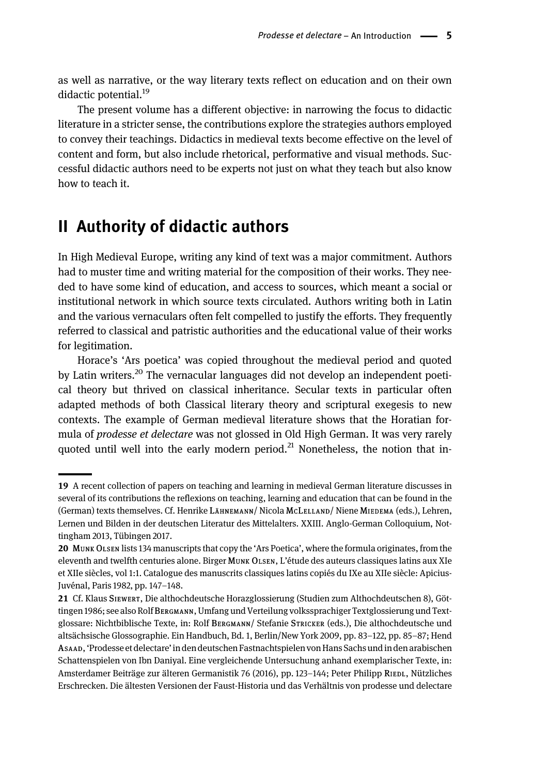as well as narrative, or the way literary texts reflect on education and on their own didactic potential.<sup>19</sup>

The present volume has a different objective: in narrowing the focus to didactic literature in a stricter sense, the contributions explore the strategies authors employed to convey their teachings. Didactics in medieval texts become effective on the level of content and form, but also include rhetorical, performative and visual methods. Successful didactic authors need to be experts not just on what they teach but also know how to teach it.

### II Authority of didactic authors

In High Medieval Europe, writing any kind of text was a major commitment. Authors had to muster time and writing material for the composition of their works. They needed to have some kind of education, and access to sources, which meant a social or institutional network in which source texts circulated. Authors writing both in Latin and the various vernaculars often felt compelled to justify the efforts. They frequently referred to classical and patristic authorities and the educational value of their works for legitimation.

Horace's 'Ars poetica' was copied throughout the medieval period and quoted by Latin writers.<sup>20</sup> The vernacular languages did not develop an independent poetical theory but thrived on classical inheritance. Secular texts in particular often adapted methods of both Classical literary theory and scriptural exegesis to new contexts. The example of German medieval literature shows that the Horatian formula of prodesse et delectare was not glossed in Old High German. It was very rarely quoted until well into the early modern period. $^{21}$  Nonetheless, the notion that in-

<sup>19</sup> A recent collection of papers on teaching and learning in medieval German literature discusses in several of its contributions the reflexions on teaching, learning and education that can be found in the (German) texts themselves. Cf. Henrike LÄHNEMANN/ Nicola McLELLAND/ Niene МIEDEMA (eds.), Lehren, Lernen und Bilden in der deutschen Literatur des Mittelalters. XXIII. Anglo-German Colloquium, Nottingham 2013, Tübingen 2017.

<sup>20</sup> MUNK OLSEN lists 134 manuscripts that copy the 'Ars Poetica', where the formula originates, from the eleventh and twelfth centuries alone. Birger MUNK OLSEN, L'étude des auteurs classiques latins aux XIe et XIIe siècles, vol 1:1. Catalogue des manuscrits classiques latins copiés du IXe au XIIe siècle: Apicius-Juvénal, Paris 1982, pp. 147–148.

<sup>21</sup> Cf. Klaus SIEWERT, Die althochdeutsche Horazglossierung (Studien zum Althochdeutschen 8), Göttingen 1986; see also Rolf BERGMANN, Umfang und Verteilung volkssprachiger Textglossierung und Textglossare: Nichtbiblische Texte, in: Rolf BERGMANN/ Stefanie STRICKER (eds.), Die althochdeutsche und altsächsische Glossographie. Ein Handbuch, Bd. 1, Berlin/New York 2009, pp. 83–122, pp. 85–87; Hend ASAAD,'Prodesse et delectare' in den deutschen Fastnachtspielen vonHans Sachs und in den arabischen Schattenspielen von Ibn Daniyal. Eine vergleichende Untersuchung anhand exemplarischer Texte, in: Amsterdamer Beiträge zur älteren Germanistik 76 (2016), pp. 123–144; Peter Philipp RIEDL, Nützliches Erschrecken. Die ältesten Versionen der Faust-Historia und das Verhältnis von prodesse und delectare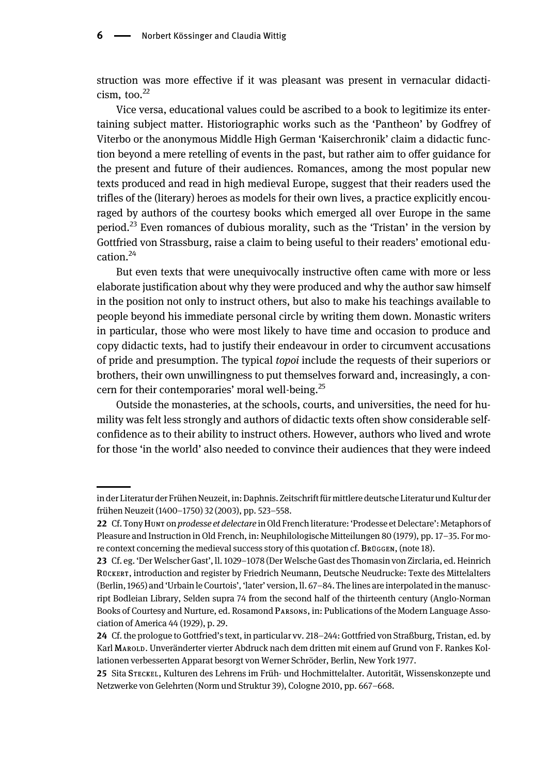struction was more effective if it was pleasant was present in vernacular didacti $cism,$  too. $^{22}$ 

Vice versa, educational values could be ascribed to a book to legitimize its entertaining subject matter. Historiographic works such as the 'Pantheon' by Godfrey of Viterbo or the anonymous Middle High German 'Kaiserchronik' claim a didactic function beyond a mere retelling of events in the past, but rather aim to offer guidance for the present and future of their audiences. Romances, among the most popular new texts produced and read in high medieval Europe, suggest that their readers used the trifles of the (literary) heroes as models for their own lives, a practice explicitly encouraged by authors of the courtesy books which emerged all over Europe in the same period.<sup>23</sup> Even romances of dubious morality, such as the 'Tristan' in the version by Gottfried von Strassburg, raise a claim to being useful to their readers' emotional education.<sup>24</sup>

But even texts that were unequivocally instructive often came with more or less elaborate justification about why they were produced and why the author saw himself in the position not only to instruct others, but also to make his teachings available to people beyond his immediate personal circle by writing them down. Monastic writers in particular, those who were most likely to have time and occasion to produce and copy didactic texts, had to justify their endeavour in order to circumvent accusations of pride and presumption. The typical topoi include the requests of their superiors or brothers, their own unwillingness to put themselves forward and, increasingly, a concern for their contemporaries' moral well-being.<sup>25</sup>

Outside the monasteries, at the schools, courts, and universities, the need for humility was felt less strongly and authors of didactic texts often show considerable selfconfidence as to their ability to instruct others. However, authors who lived and wrote for those 'in the world' also needed to convince their audiences that they were indeed

in der Literatur der Frühen Neuzeit, in: Daphnis. Zeitschrift für mittlere deutsche Literatur und Kultur der frühen Neuzeit (1400–1750) 32 (2003), pp. 523–558.

<sup>22</sup> Cf. Tony Hunr on prodesse et delectare in Old French literature: 'Prodesse et Delectare': Metaphors of Pleasure and Instruction in Old French, in: Neuphilologische Mitteilungen 80 (1979), pp. 17–35. For more context concerning the medieval success story of this quotation cf. BRÜGGEN, (note 18).

<sup>23</sup> Cf. eg. 'Der Welscher Gast', ll. 1029–1078 (Der Welsche Gast des Thomasin von Zirclaria, ed. Heinrich RÜCKERT, introduction and register by Friedrich Neumann, Deutsche Neudrucke: Texte des Mittelalters (Berlin, 1965) and 'Urbain le Courtois', 'later' version, ll. 67–84. The lines are interpolated in the manuscript Bodleian Library, Selden supra 74 from the second half of the thirteenth century (Anglo-Norman Books of Courtesy and Nurture, ed. Rosamond PARSONS, in: Publications of the Modern Language Association of America 44 (1929), p. 29.

<sup>24</sup> Cf. the prologue to Gottfried's text, in particular vv. 218–244: Gottfried von Straßburg, Tristan, ed. by Karl MAROLD. Unveränderter vierter Abdruck nach dem dritten mit einem auf Grund von F. Rankes Kollationen verbesserten Apparat besorgt von Werner Schröder, Berlin, New York 1977.

<sup>25</sup> Sita STECKEL, Kulturen des Lehrens im Früh- und Hochmittelalter. Autorität, Wissenskonzepte und Netzwerke von Gelehrten (Norm und Struktur 39), Cologne 2010, pp. 667–668.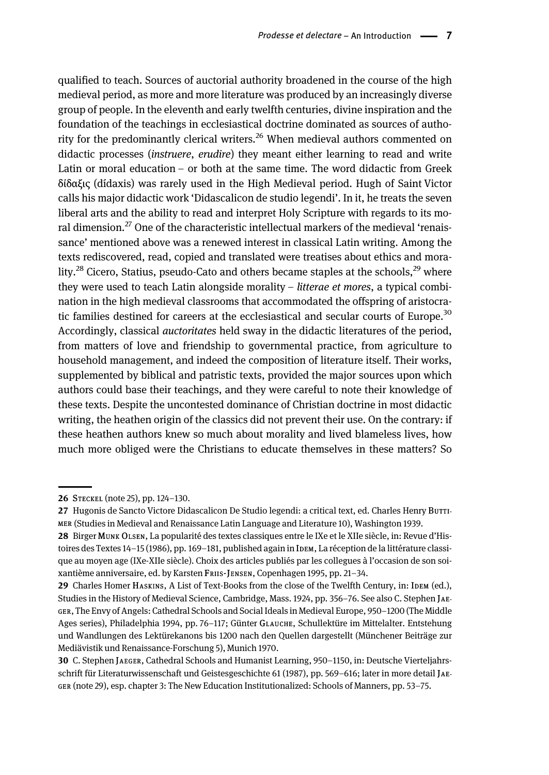qualified to teach. Sources of auctorial authority broadened in the course of the high medieval period, as more and more literature was produced by an increasingly diverse group of people. In the eleventh and early twelfth centuries, divine inspiration and the foundation of the teachings in ecclesiastical doctrine dominated as sources of authority for the predominantly clerical writers.<sup>26</sup> When medieval authors commented on didactic processes (instruere, erudire) they meant either learning to read and write Latin or moral education – or both at the same time. The word didactic from Greek δίδαξις (dídaxis) was rarely used in the High Medieval period. Hugh of Saint Victor calls his major didactic work 'Didascalicon de studio legendi'. In it, he treats the seven liberal arts and the ability to read and interpret Holy Scripture with regards to its moral dimension.<sup>27</sup> One of the characteristic intellectual markers of the medieval 'renaissance' mentioned above was a renewed interest in classical Latin writing. Among the texts rediscovered, read, copied and translated were treatises about ethics and morality.<sup>28</sup> Cicero, Statius, pseudo-Cato and others became staples at the schools,<sup>29</sup> where they were used to teach Latin alongside morality – litterae et mores, a typical combination in the high medieval classrooms that accommodated the offspring of aristocratic families destined for careers at the ecclesiastical and secular courts of Europe.<sup>30</sup> Accordingly, classical *auctoritates* held sway in the didactic literatures of the period, from matters of love and friendship to governmental practice, from agriculture to household management, and indeed the composition of literature itself. Their works, supplemented by biblical and patristic texts, provided the major sources upon which authors could base their teachings, and they were careful to note their knowledge of these texts. Despite the uncontested dominance of Christian doctrine in most didactic writing, the heathen origin of the classics did not prevent their use. On the contrary: if these heathen authors knew so much about morality and lived blameless lives, how much more obliged were the Christians to educate themselves in these matters? So

<sup>26</sup> STECKEL (note 25), pp. 124–130.

<sup>27</sup> Hugonis de Sancto Victore Didascalicon De Studio legendi: a critical text, ed. Charles Henry Burri-MER (Studies in Medieval and Renaissance Latin Language and Literature 10), Washington 1939.

<sup>28</sup> Birger MUNK OLSEN, La popularité des textes classiques entre le IXe et le XIIe siècle, in: Revue d'Histoires des Textes 14–15 (1986), pp. 169–181, published again in IDEM, La réception de la littérature classique au moyen age (IXe-XIIe siècle). Choix des articles publiés par les collegues à l'occasion de son soixantième anniversaire, ed. by Karsten Frus-Jensen, Copenhagen 1995, pp. 21–34.

<sup>29</sup> Charles Homer HASKINS, A List of Text-Books from the close of the Twelfth Century, in: IDEM (ed.), Studies in the History of Medieval Science, Cambridge, Mass. 1924, pp. 356-76. See also C. Stephen JAE-GER, The Envy of Angels: Cathedral Schools and Social Ideals in Medieval Europe, 950-1200 (The Middle Ages series), Philadelphia 1994, pp. 76–117; Günter GLAUCHE, Schullektüre im Mittelalter. Entstehung und Wandlungen des Lektürekanons bis 1200 nach den Quellen dargestellt (Münchener Beiträge zur Mediävistik und Renaissance-Forschung 5), Munich 1970.

<sup>30</sup> C. Stephen JAEGER, Cathedral Schools and Humanist Learning, 950–1150, in: Deutsche Vierteljahrsschrift für Literaturwissenschaft und Geistesgeschichte 61 (1987), pp. 569–616; later in more detail JAE - GER (note 29), esp. chapter 3: The New Education Institutionalized: Schools of Manners, pp. 53–75.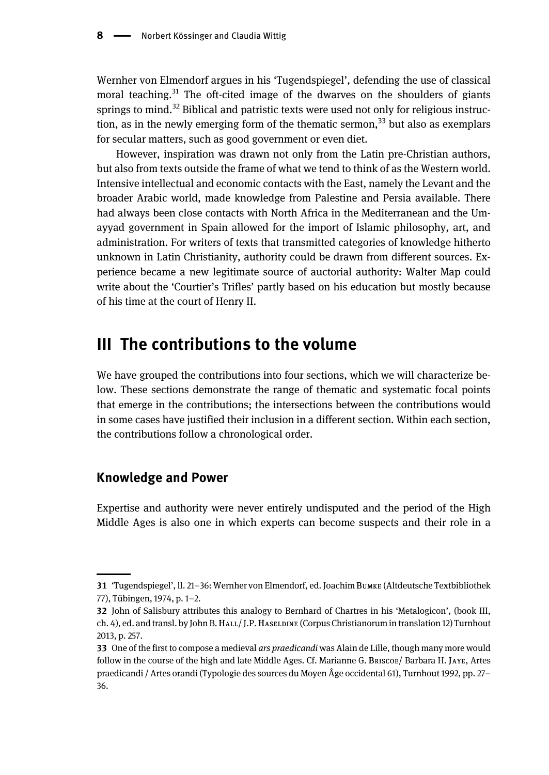Wernher von Elmendorf argues in his 'Tugendspiegel', defending the use of classical moral teaching.<sup>31</sup> The oft-cited image of the dwarves on the shoulders of giants springs to mind. $32$  Biblical and patristic texts were used not only for religious instruction, as in the newly emerging form of the thematic sermon,  $33$  but also as exemplars for secular matters, such as good government or even diet.

However, inspiration was drawn not only from the Latin pre-Christian authors, but also from texts outside the frame of what we tend to think of as the Western world. Intensive intellectual and economic contacts with the East, namely the Levant and the broader Arabic world, made knowledge from Palestine and Persia available. There had always been close contacts with North Africa in the Mediterranean and the Umayyad government in Spain allowed for the import of Islamic philosophy, art, and administration. For writers of texts that transmitted categories of knowledge hitherto unknown in Latin Christianity, authority could be drawn from different sources. Experience became a new legitimate source of auctorial authority: Walter Map could write about the 'Courtier's Trifles' partly based on his education but mostly because of his time at the court of Henry II.

## III The contributions to the volume

We have grouped the contributions into four sections, which we will characterize below. These sections demonstrate the range of thematic and systematic focal points that emerge in the contributions; the intersections between the contributions would in some cases have justified their inclusion in a different section. Within each section, the contributions follow a chronological order.

### Knowledge and Power

Expertise and authority were never entirely undisputed and the period of the High Middle Ages is also one in which experts can become suspects and their role in a

<sup>31</sup> 'Tugendspiegel', ll. 21–36: Wernher von Elmendorf, ed. Joachim BUMKE (Altdeutsche Textbibliothek 77), Tübingen, 1974, p. 1–2.

<sup>32</sup> John of Salisbury attributes this analogy to Bernhard of Chartres in his 'Metalogicon', (book III, ch. 4), ed. and transl. by John B.HALL/ J.P.HASELDINE (Corpus Christianorum in translation 12) Turnhout 2013, p. 257.

<sup>33</sup> One of the first to compose a medieval *ars praedicandi* was Alain de Lille, though many more would follow in the course of the high and late Middle Ages. Cf. Marianne G. BRISCOE/ Barbara H. JAYE, Artes praedicandi / Artes orandi (Typologie des sources du Moyen Âge occidental 61), Turnhout 1992, pp. 27– 36.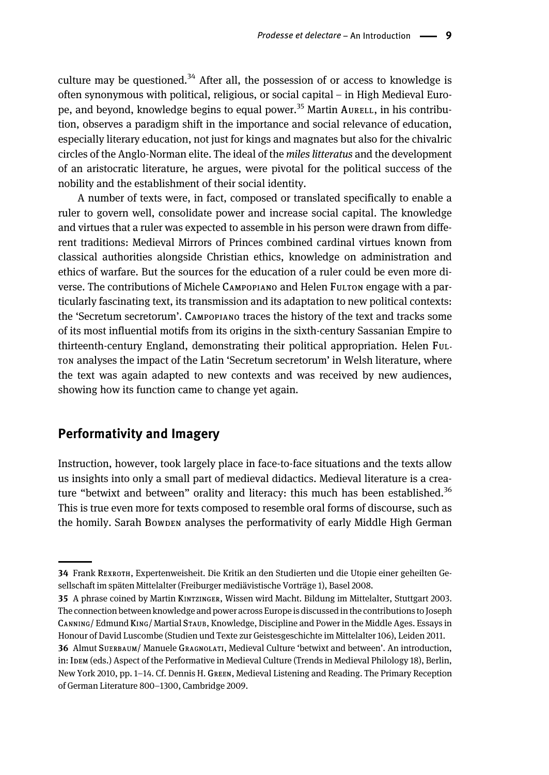culture may be questioned.<sup>34</sup> After all, the possession of or access to knowledge is often synonymous with political, religious, or social capital – in High Medieval Europe, and beyond, knowledge begins to equal power.<sup>35</sup> Martin Aurell, in his contribution, observes a paradigm shift in the importance and social relevance of education, especially literary education, not just for kings and magnates but also for the chivalric circles of the Anglo-Norman elite. The ideal of the miles litteratus and the development of an aristocratic literature, he argues, were pivotal for the political success of the nobility and the establishment of their social identity.

A number of texts were, in fact, composed or translated specifically to enable a ruler to govern well, consolidate power and increase social capital. The knowledge and virtues that a ruler was expected to assemble in his person were drawn from different traditions: Medieval Mirrors of Princes combined cardinal virtues known from classical authorities alongside Christian ethics, knowledge on administration and ethics of warfare. But the sources for the education of a ruler could be even more di-Verse. The contributions of Michele CAMPOPIANO and Helen FULTON engage with a particularly fascinating text, its transmission and its adaptation to new political contexts: the 'Secretum secretorum'. CAMPOPIANO traces the history of the text and tracks some of its most influential motifs from its origins in the sixth-century Sassanian Empire to thirteenth-century England, demonstrating their political appropriation. Helen FUL - TON analyses the impact of the Latin 'Secretum secretorum' in Welsh literature, where the text was again adapted to new contexts and was received by new audiences, showing how its function came to change yet again.

#### Performativity and Imagery

Instruction, however, took largely place in face-to-face situations and the texts allow us insights into only a small part of medieval didactics. Medieval literature is a creature "betwixt and between" orality and literacy: this much has been established.<sup>36</sup> This is true even more for texts composed to resemble oral forms of discourse, such as the homily. Sarah BOWDEN analyses the performativity of early Middle High German

<sup>34</sup> Frank REXROTH, Expertenweisheit. Die Kritik an den Studierten und die Utopie einer geheilten Gesellschaft im späten Mittelalter (Freiburger mediävistische Vorträge 1), Basel 2008.

<sup>35</sup> A phrase coined by Martin KINTZINGER, Wissen wird Macht. Bildung im Mittelalter, Stuttgart 2003. The connection between knowledge and power across Europe is discussed in the contributions to Joseph CANNING/ Edmund KING/ Martial STAUB, Knowledge, Discipline and Power in the Middle Ages. Essays in Honour of David Luscombe (Studien und Texte zur Geistesgeschichte im Mittelalter 106), Leiden 2011.

<sup>36</sup> Almut SUERBAUM/ Manuele GRAGNOLATI, Medieval Culture 'betwixt and between'. An introduction, in: IDEM (eds.) Aspect of the Performative in Medieval Culture (Trends in Medieval Philology 18), Berlin, New York 2010, pp. 1–14. Cf. Dennis H. GREEN, Medieval Listening and Reading. The Primary Reception of German Literature 800–1300, Cambridge 2009.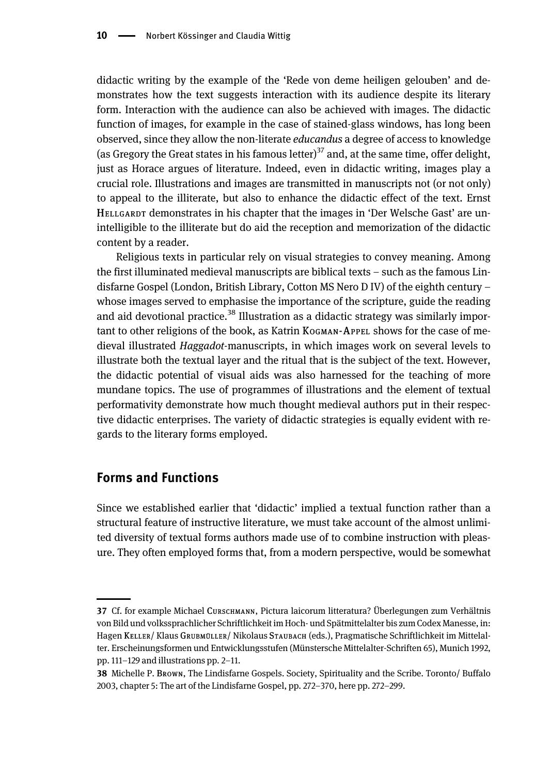didactic writing by the example of the 'Rede von deme heiligen gelouben' and demonstrates how the text suggests interaction with its audience despite its literary form. Interaction with the audience can also be achieved with images. The didactic function of images, for example in the case of stained-glass windows, has long been observed, since they allow the non-literate *educandus* a degree of access to knowledge (as Gregory the Great states in his famous letter)<sup>37</sup> and, at the same time, offer delight, just as Horace argues of literature. Indeed, even in didactic writing, images play a crucial role. Illustrations and images are transmitted in manuscripts not (or not only) to appeal to the illiterate, but also to enhance the didactic effect of the text. Ernst HELLGARDT demonstrates in his chapter that the images in 'Der Welsche Gast' are unintelligible to the illiterate but do aid the reception and memorization of the didactic content by a reader.

Religious texts in particular rely on visual strategies to convey meaning. Among the first illuminated medieval manuscripts are biblical texts – such as the famous Lindisfarne Gospel (London, British Library, Cotton MS Nero D IV) of the eighth century – whose images served to emphasise the importance of the scripture, guide the reading and aid devotional practice.<sup>38</sup> Illustration as a didactic strategy was similarly important to other religions of the book, as Katrin KOGMAN-APPEL shows for the case of medieval illustrated Haggadot-manuscripts, in which images work on several levels to illustrate both the textual layer and the ritual that is the subject of the text. However, the didactic potential of visual aids was also harnessed for the teaching of more mundane topics. The use of programmes of illustrations and the element of textual performativity demonstrate how much thought medieval authors put in their respective didactic enterprises. The variety of didactic strategies is equally evident with regards to the literary forms employed.

#### Forms and Functions

Since we established earlier that 'didactic' implied a textual function rather than a structural feature of instructive literature, we must take account of the almost unlimited diversity of textual forms authors made use of to combine instruction with pleasure. They often employed forms that, from a modern perspective, would be somewhat

<sup>37</sup> Cf. for example Michael CURSCHMANN, Pictura laicorum litteratura? Überlegungen zum Verhältnis von Bild und volkssprachlicher Schriftlichkeit im Hoch- und Spätmittelalter bis zum Codex Manesse, in: Hagen KELLER/ Klaus Grubmüller/ Nikolaus Staubach (eds.), Pragmatische Schriftlichkeit im Mittelalter. Erscheinungsformen und Entwicklungsstufen (Münstersche Mittelalter-Schriften 65), Munich 1992, pp. 111–129 and illustrations pp. 2–11.

<sup>38</sup> Michelle P. BROWN, The Lindisfarne Gospels. Society, Spirituality and the Scribe. Toronto/ Buffalo 2003, chapter 5: The art of the Lindisfarne Gospel, pp. 272–370, here pp. 272–299.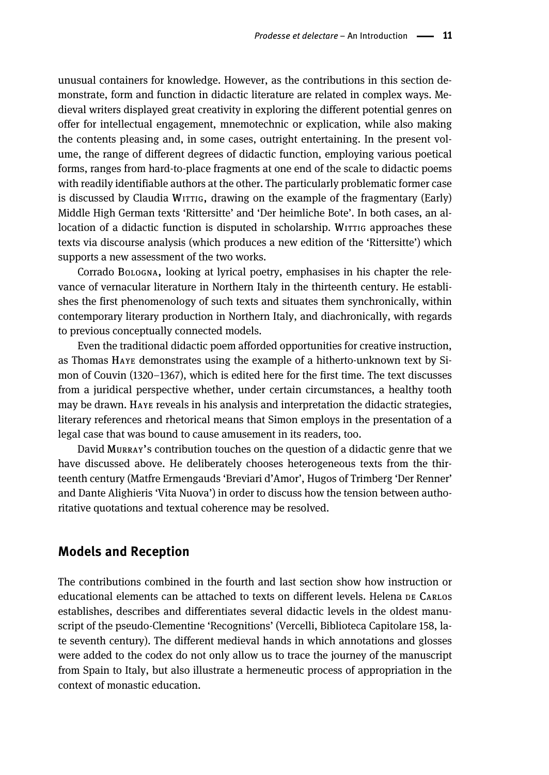unusual containers for knowledge. However, as the contributions in this section demonstrate, form and function in didactic literature are related in complex ways. Medieval writers displayed great creativity in exploring the different potential genres on offer for intellectual engagement, mnemotechnic or explication, while also making the contents pleasing and, in some cases, outright entertaining. In the present volume, the range of different degrees of didactic function, employing various poetical forms, ranges from hard-to-place fragments at one end of the scale to didactic poems with readily identifiable authors at the other. The particularly problematic former case is discussed by Claudia WITTIG, drawing on the example of the fragmentary (Early) Middle High German texts 'Rittersitte' and 'Der heimliche Bote'. In both cases, an allocation of a didactic function is disputed in scholarship. WITTIG approaches these texts via discourse analysis (which produces a new edition of the 'Rittersitte') which supports a new assessment of the two works.

Corrado BOLOGNA, looking at lyrical poetry, emphasises in his chapter the relevance of vernacular literature in Northern Italy in the thirteenth century. He establishes the first phenomenology of such texts and situates them synchronically, within contemporary literary production in Northern Italy, and diachronically, with regards to previous conceptually connected models.

Even the traditional didactic poem afforded opportunities for creative instruction, as Thomas HAYE demonstrates using the example of a hitherto-unknown text by Simon of Couvin (1320–1367), which is edited here for the first time. The text discusses from a juridical perspective whether, under certain circumstances, a healthy tooth may be drawn. HAYE reveals in his analysis and interpretation the didactic strategies, literary references and rhetorical means that Simon employs in the presentation of a legal case that was bound to cause amusement in its readers, too.

David MURRAY's contribution touches on the question of a didactic genre that we have discussed above. He deliberately chooses heterogeneous texts from the thirteenth century (Matfre Ermengauds 'Breviari d'Amor', Hugos of Trimberg 'Der Renner' and Dante Alighieris 'Vita Nuova') in order to discuss how the tension between authoritative quotations and textual coherence may be resolved.

### Models and Reception

The contributions combined in the fourth and last section show how instruction or educational elements can be attached to texts on different levels. Helena DE CARLOS establishes, describes and differentiates several didactic levels in the oldest manuscript of the pseudo-Clementine 'Recognitions' (Vercelli, Biblioteca Capitolare 158, late seventh century). The different medieval hands in which annotations and glosses were added to the codex do not only allow us to trace the journey of the manuscript from Spain to Italy, but also illustrate a hermeneutic process of appropriation in the context of monastic education.